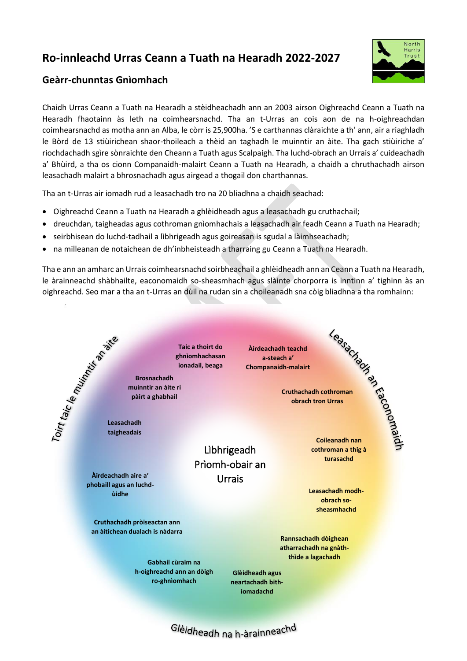## **Ro-innleachd Urras Ceann a Tuath na Hearadh 2022-2027**



## **Geàrr-chunntas Gnìomhach**

Chaidh Urras Ceann a Tuath na Hearadh a stèidheachadh ann an 2003 airson Oighreachd Ceann a Tuath na Hearadh fhaotainn às leth na coimhearsnachd. Tha an t-Urras an cois aon de na h-oighreachdan coimhearsnachd as motha ann an Alba, le còrr is 25,900ha. 'S e carthannas clàraichte a th' ann, air a riaghladh le Bòrd de 13 stiùirichean shaor-thoileach a thèid an taghadh le muinntir an àite. Tha gach stiùiriche a' riochdachadh sgìre sònraichte den Cheann a Tuath agus Scalpaigh. Tha luchd-obrach an Urrais a' cuideachadh a' Bhùird, a tha os cionn Companaidh-malairt Ceann a Tuath na Hearadh, a chaidh a chruthachadh airson leasachadh malairt a bhrosnachadh agus airgead a thogail don charthannas.

Tha an t-Urras air iomadh rud a leasachadh tro na 20 bliadhna a chaidh seachad:

- Oighreachd Ceann a Tuath na Hearadh a ghlèidheadh agus a leasachadh gu cruthachail;
- dreuchdan, taigheadas agus cothroman gnìomhachais a leasachadh air feadh Ceann a Tuath na Hearadh;
- seirbhisean do luchd-tadhail a lìbhrigeadh agus goireasan is sgudal a làimhseachadh;
- na milleanan de notaichean de dh'inbheisteadh a tharraing gu Ceann a Tuath na Hearadh.

Tha e ann an amharc an Urrais coimhearsnachd soirbheachail a ghlèidheadh ann an Ceann a Tuath na Hearadh, le àrainneachd shàbhailte, eaconomaidh so-sheasmhach agus slàinte chorporra is inntinn a' tighinn às an oighreachd. Seo mar a tha an t-Urras an dùil na rudan sin a choileanadh sna còig bliadhna a tha romhainn: